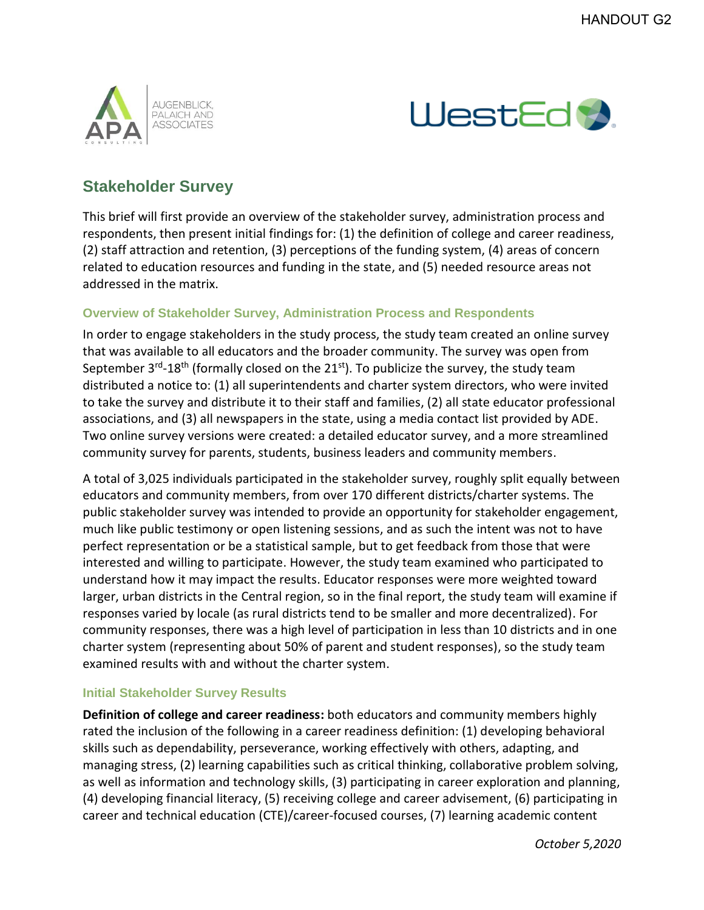



## **Stakeholder Survey**

This brief will first provide an overview of the stakeholder survey, administration process and respondents, then present initial findings for: (1) the definition of college and career readiness, (2) staff attraction and retention, (3) perceptions of the funding system, (4) areas of concern related to education resources and funding in the state, and (5) needed resource areas not addressed in the matrix.

## **Overview of Stakeholder Survey, Administration Process and Respondents**

In order to engage stakeholders in the study process, the study team created an online survey that was available to all educators and the broader community. The survey was open from September 3<sup>rd</sup>-18<sup>th</sup> (formally closed on the 21<sup>st</sup>). To publicize the survey, the study team distributed a notice to: (1) all superintendents and charter system directors, who were invited to take the survey and distribute it to their staff and families, (2) all state educator professional associations, and (3) all newspapers in the state, using a media contact list provided by ADE. Two online survey versions were created: a detailed educator survey, and a more streamlined community survey for parents, students, business leaders and community members.

A total of 3,025 individuals participated in the stakeholder survey, roughly split equally between educators and community members, from over 170 different districts/charter systems. The public stakeholder survey was intended to provide an opportunity for stakeholder engagement, much like public testimony or open listening sessions, and as such the intent was not to have perfect representation or be a statistical sample, but to get feedback from those that were interested and willing to participate. However, the study team examined who participated to understand how it may impact the results. Educator responses were more weighted toward larger, urban districts in the Central region, so in the final report, the study team will examine if responses varied by locale (as rural districts tend to be smaller and more decentralized). For community responses, there was a high level of participation in less than 10 districts and in one charter system (representing about 50% of parent and student responses), so the study team examined results with and without the charter system.

## **Initial Stakeholder Survey Results**

**Definition of college and career readiness:** both educators and community members highly rated the inclusion of the following in a career readiness definition: (1) developing behavioral skills such as dependability, perseverance, working effectively with others, adapting, and managing stress, (2) learning capabilities such as critical thinking, collaborative problem solving, as well as information and technology skills, (3) participating in career exploration and planning, (4) developing financial literacy, (5) receiving college and career advisement, (6) participating in career and technical education (CTE)/career-focused courses, (7) learning academic content